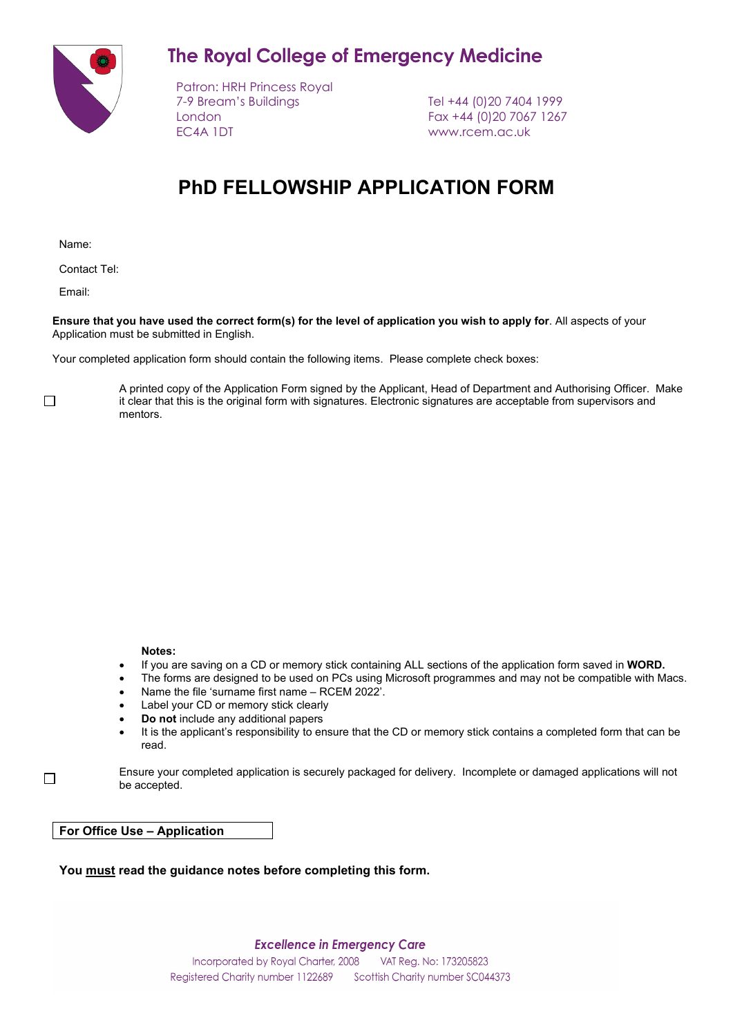**The Royal College of Emergency Medicine** 



Patron: HRH Princess Royal 7-9 Bream's Buildings Tel +44 (0)20 7404 1999 London Fax +44 (0)20 7067 1267 EC4A 1DT www.rcem.ac.uk

# **PhD FELLOWSHIP APPLICATION FORM**

Name:

Contact Tel:

Email:

**Ensure that you have used the correct form(s) for the level of application you wish to apply for**. All aspects of your Application must be submitted in English.

Your completed application form should contain the following items. Please complete check boxes:

 $\Box$ 

 $\Box$ 

A printed copy of the Application Form signed by the Applicant, Head of Department and Authorising Officer. Make it clear that this is the original form with signatures. Electronic signatures are acceptable from supervisors and mentors.

#### **Notes:**

- If you are saving on a CD or memory stick containing ALL sections of the application form saved in **WORD.**
- The forms are designed to be used on PCs using Microsoft programmes and may not be compatible with Macs.
- Name the file 'surname first name RCEM 2022'.
- Label your CD or memory stick clearly
- **Do not** include any additional papers
- It is the applicant's responsibility to ensure that the CD or memory stick contains a completed form that can be read.

Ensure your completed application is securely packaged for delivery. Incomplete or damaged applications will not be accepted.

**For Office Use – Application** 

**You must read the guidance notes before completing this form.**

**Excellence in Emergency Care**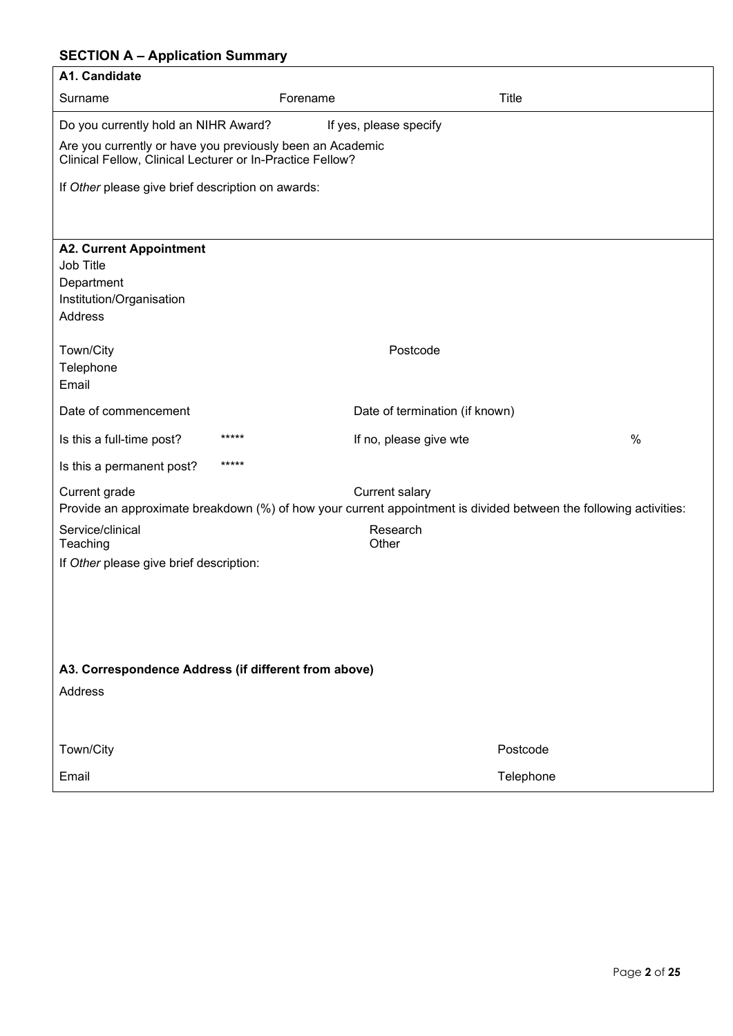# **SECTION A – Application Summary**

| A1. Candidate                                                                                                          |                                                                                                                                            |              |
|------------------------------------------------------------------------------------------------------------------------|--------------------------------------------------------------------------------------------------------------------------------------------|--------------|
| Surname                                                                                                                | Forename                                                                                                                                   | <b>Title</b> |
| Do you currently hold an NIHR Award?                                                                                   | If yes, please specify                                                                                                                     |              |
| Are you currently or have you previously been an Academic<br>Clinical Fellow, Clinical Lecturer or In-Practice Fellow? |                                                                                                                                            |              |
| If Other please give brief description on awards:                                                                      |                                                                                                                                            |              |
|                                                                                                                        |                                                                                                                                            |              |
| <b>A2. Current Appointment</b><br>Job Title<br>Department<br>Institution/Organisation<br><b>Address</b>                |                                                                                                                                            |              |
| Town/City<br>Telephone<br>Email                                                                                        | Postcode                                                                                                                                   |              |
| Date of commencement                                                                                                   | Date of termination (if known)                                                                                                             |              |
| *****<br>Is this a full-time post?                                                                                     | If no, please give wte                                                                                                                     | $\%$         |
| *****<br>Is this a permanent post?                                                                                     |                                                                                                                                            |              |
| Current grade                                                                                                          | <b>Current salary</b><br>Provide an approximate breakdown (%) of how your current appointment is divided between the following activities: |              |
| Service/clinical<br>Teaching                                                                                           | Research<br>Other                                                                                                                          |              |
| If Other please give brief description:                                                                                |                                                                                                                                            |              |
|                                                                                                                        |                                                                                                                                            |              |
| A3. Correspondence Address (if different from above)                                                                   |                                                                                                                                            |              |
| Address                                                                                                                |                                                                                                                                            |              |
| Town/City                                                                                                              |                                                                                                                                            | Postcode     |
| Email                                                                                                                  |                                                                                                                                            | Telephone    |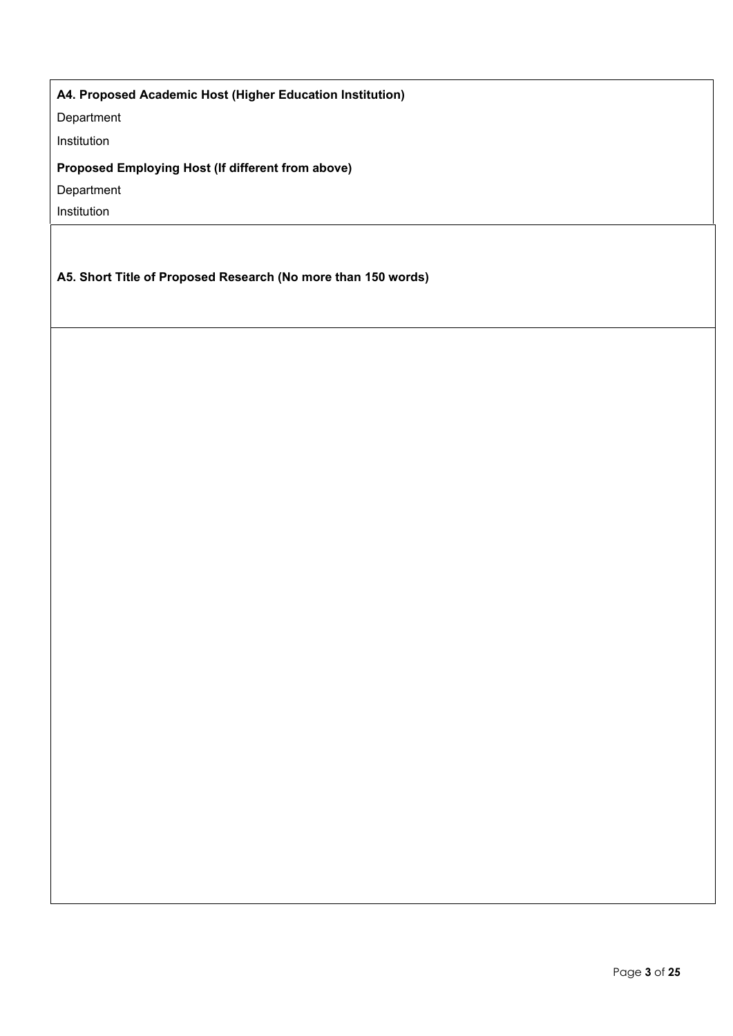# **A4. Proposed Academic Host (Higher Education Institution)**

Department

Institution

# **Proposed Employing Host (If different from above)**

Department

Institution

**A5. Short Title of Proposed Research (No more than 150 words)**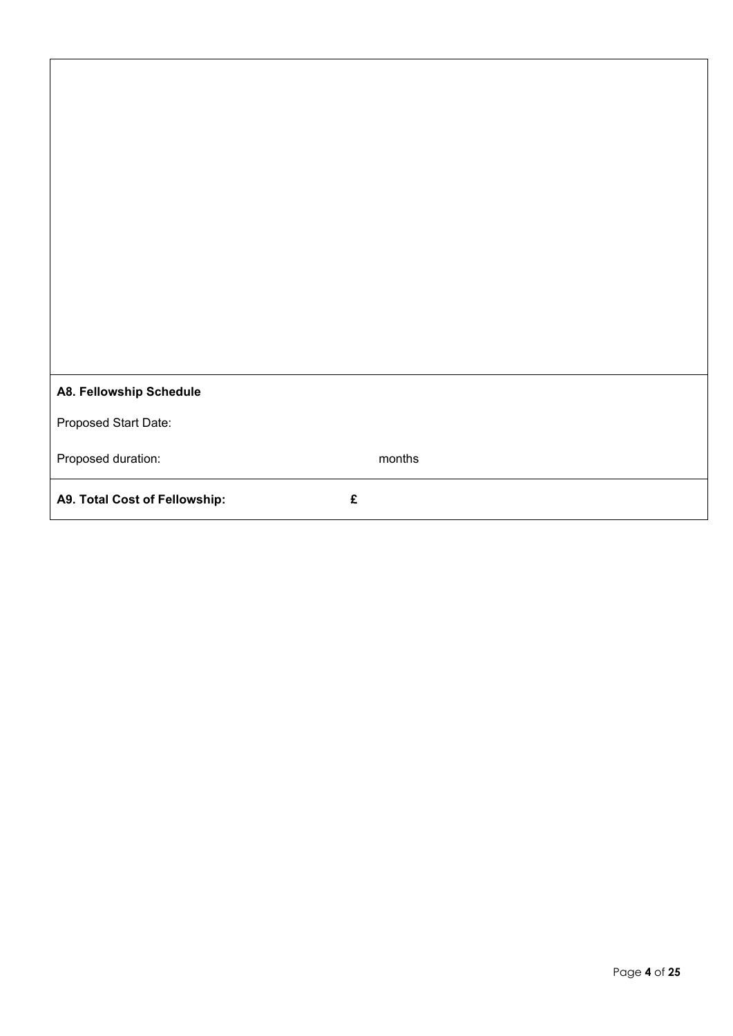| A8. Fellowship Schedule       |   |        |
|-------------------------------|---|--------|
| Proposed Start Date:          |   |        |
| Proposed duration:            |   | months |
| A9. Total Cost of Fellowship: | £ |        |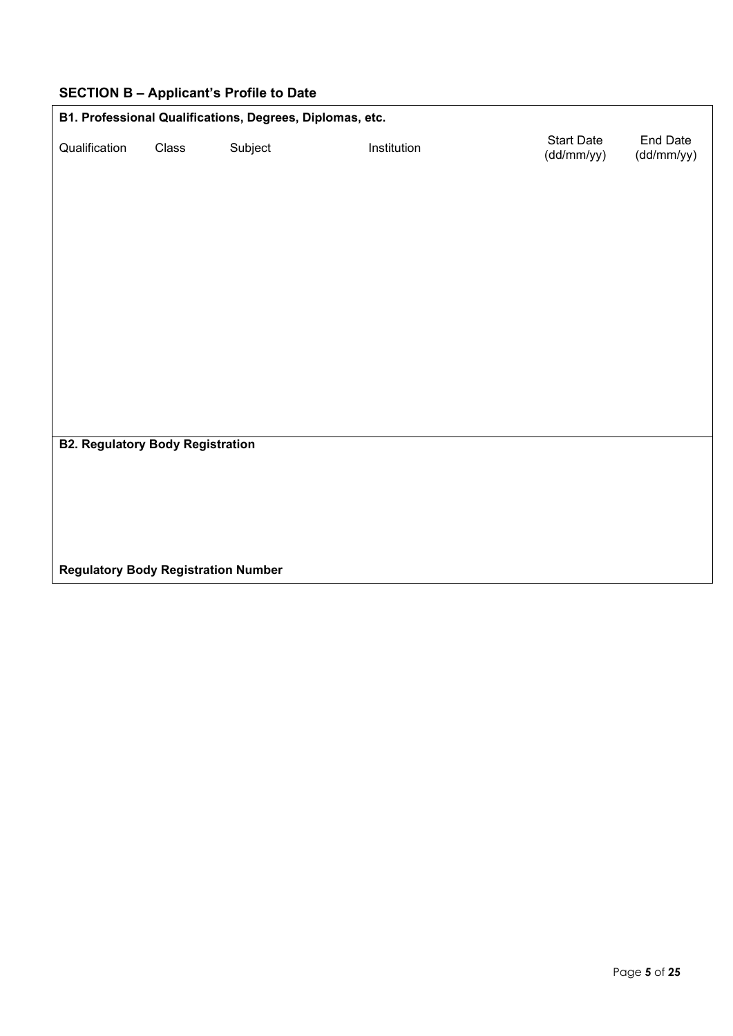|                                            |       | $\epsilon$ . $\epsilon$ is a substitution of $\epsilon$ is the state of $\epsilon$ |             |                                 |                        |
|--------------------------------------------|-------|------------------------------------------------------------------------------------|-------------|---------------------------------|------------------------|
|                                            |       | B1. Professional Qualifications, Degrees, Diplomas, etc.                           |             |                                 |                        |
| Qualification                              | Class | Subject                                                                            | Institution | <b>Start Date</b><br>(dd/mm/yy) | End Date<br>(dd/mm/yy) |
|                                            |       |                                                                                    |             |                                 |                        |
|                                            |       |                                                                                    |             |                                 |                        |
|                                            |       |                                                                                    |             |                                 |                        |
|                                            |       |                                                                                    |             |                                 |                        |
|                                            |       |                                                                                    |             |                                 |                        |
|                                            |       |                                                                                    |             |                                 |                        |
|                                            |       |                                                                                    |             |                                 |                        |
|                                            |       |                                                                                    |             |                                 |                        |
|                                            |       |                                                                                    |             |                                 |                        |
|                                            |       |                                                                                    |             |                                 |                        |
|                                            |       |                                                                                    |             |                                 |                        |
|                                            |       |                                                                                    |             |                                 |                        |
| <b>B2. Regulatory Body Registration</b>    |       |                                                                                    |             |                                 |                        |
|                                            |       |                                                                                    |             |                                 |                        |
|                                            |       |                                                                                    |             |                                 |                        |
|                                            |       |                                                                                    |             |                                 |                        |
|                                            |       |                                                                                    |             |                                 |                        |
|                                            |       |                                                                                    |             |                                 |                        |
| <b>Regulatory Body Registration Number</b> |       |                                                                                    |             |                                 |                        |

# **SECTION B – Applicant's Profile to Date**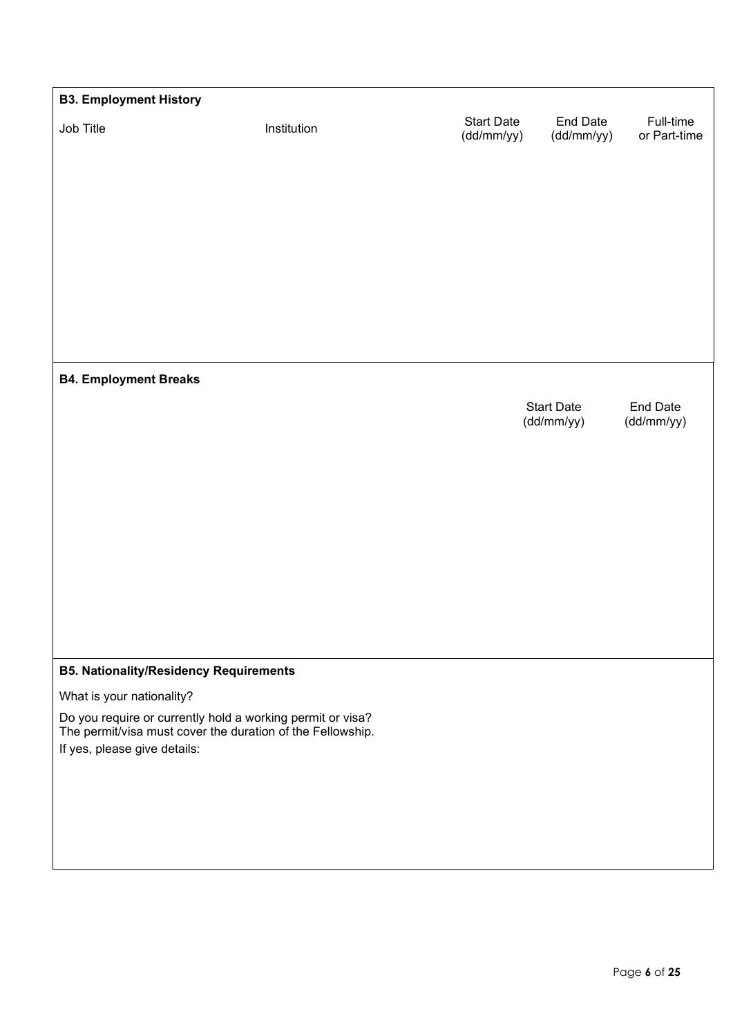| <b>B3. Employment History</b>                                                           |             |                                 |                        |                           |
|-----------------------------------------------------------------------------------------|-------------|---------------------------------|------------------------|---------------------------|
| Job Title                                                                               | Institution | <b>Start Date</b><br>(dd/mm/yy) | End Date<br>(dd/mm/yy) | Full-time<br>or Part-time |
|                                                                                         |             |                                 |                        |                           |
|                                                                                         |             |                                 |                        |                           |
|                                                                                         |             |                                 |                        |                           |
|                                                                                         |             |                                 |                        |                           |
|                                                                                         |             |                                 |                        |                           |
|                                                                                         |             |                                 |                        |                           |
|                                                                                         |             |                                 |                        |                           |
|                                                                                         |             |                                 |                        |                           |
| <b>B4. Employment Breaks</b>                                                            |             |                                 |                        |                           |
|                                                                                         |             |                                 | <b>Start Date</b>      | End Date                  |
|                                                                                         |             |                                 | (dd/mm/yy)             | (dd/mm/yy)                |
|                                                                                         |             |                                 |                        |                           |
|                                                                                         |             |                                 |                        |                           |
|                                                                                         |             |                                 |                        |                           |
|                                                                                         |             |                                 |                        |                           |
|                                                                                         |             |                                 |                        |                           |
|                                                                                         |             |                                 |                        |                           |
|                                                                                         |             |                                 |                        |                           |
|                                                                                         |             |                                 |                        |                           |
| <b>B5. Nationality/Residency Requirements</b>                                           |             |                                 |                        |                           |
| What is your nationality?<br>Do you require or currently hold a working permit or visa? |             |                                 |                        |                           |
| The permit/visa must cover the duration of the Fellowship.                              |             |                                 |                        |                           |
| If yes, please give details:                                                            |             |                                 |                        |                           |
|                                                                                         |             |                                 |                        |                           |
|                                                                                         |             |                                 |                        |                           |
|                                                                                         |             |                                 |                        |                           |
|                                                                                         |             |                                 |                        |                           |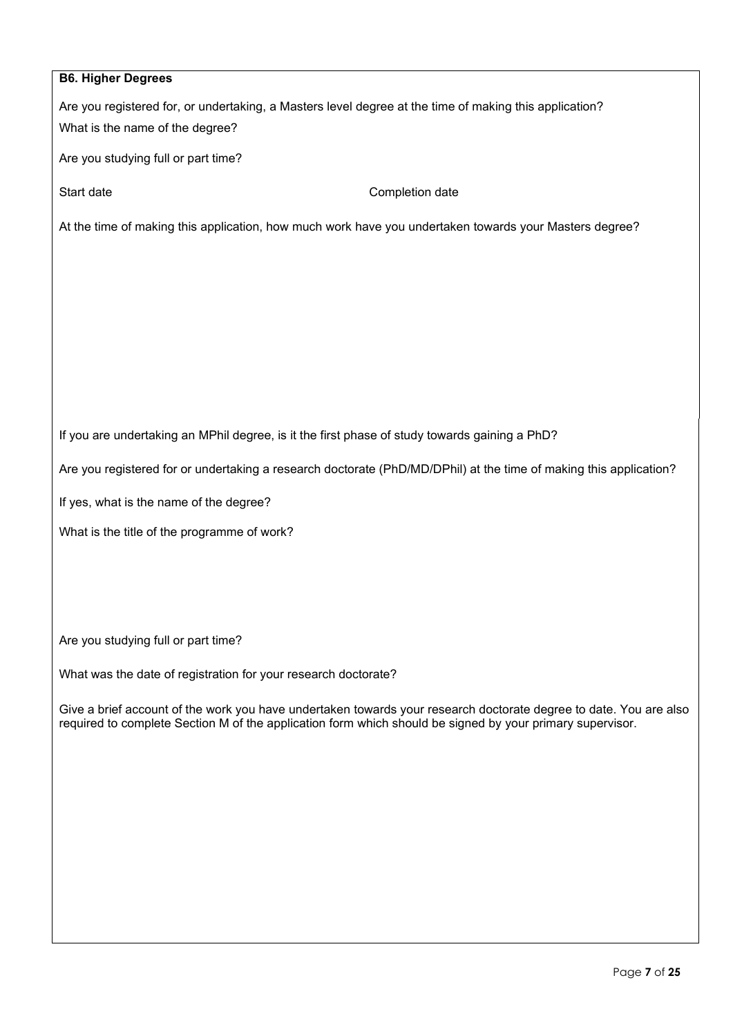| <b>B6. Higher Degrees</b>                                      |                                                                                                                                                                                                                                |
|----------------------------------------------------------------|--------------------------------------------------------------------------------------------------------------------------------------------------------------------------------------------------------------------------------|
| What is the name of the degree?                                | Are you registered for, or undertaking, a Masters level degree at the time of making this application?                                                                                                                         |
| Are you studying full or part time?                            |                                                                                                                                                                                                                                |
| Start date                                                     | Completion date                                                                                                                                                                                                                |
|                                                                | At the time of making this application, how much work have you undertaken towards your Masters degree?                                                                                                                         |
|                                                                |                                                                                                                                                                                                                                |
|                                                                |                                                                                                                                                                                                                                |
|                                                                |                                                                                                                                                                                                                                |
|                                                                |                                                                                                                                                                                                                                |
|                                                                |                                                                                                                                                                                                                                |
|                                                                | If you are undertaking an MPhil degree, is it the first phase of study towards gaining a PhD?                                                                                                                                  |
|                                                                | Are you registered for or undertaking a research doctorate (PhD/MD/DPhil) at the time of making this application?                                                                                                              |
| If yes, what is the name of the degree?                        |                                                                                                                                                                                                                                |
| What is the title of the programme of work?                    |                                                                                                                                                                                                                                |
|                                                                |                                                                                                                                                                                                                                |
|                                                                |                                                                                                                                                                                                                                |
| Are you studying full or part time?                            |                                                                                                                                                                                                                                |
| What was the date of registration for your research doctorate? |                                                                                                                                                                                                                                |
|                                                                |                                                                                                                                                                                                                                |
|                                                                | Give a brief account of the work you have undertaken towards your research doctorate degree to date. You are also<br>required to complete Section M of the application form which should be signed by your primary supervisor. |
|                                                                |                                                                                                                                                                                                                                |
|                                                                |                                                                                                                                                                                                                                |
|                                                                |                                                                                                                                                                                                                                |
|                                                                |                                                                                                                                                                                                                                |
|                                                                |                                                                                                                                                                                                                                |
|                                                                |                                                                                                                                                                                                                                |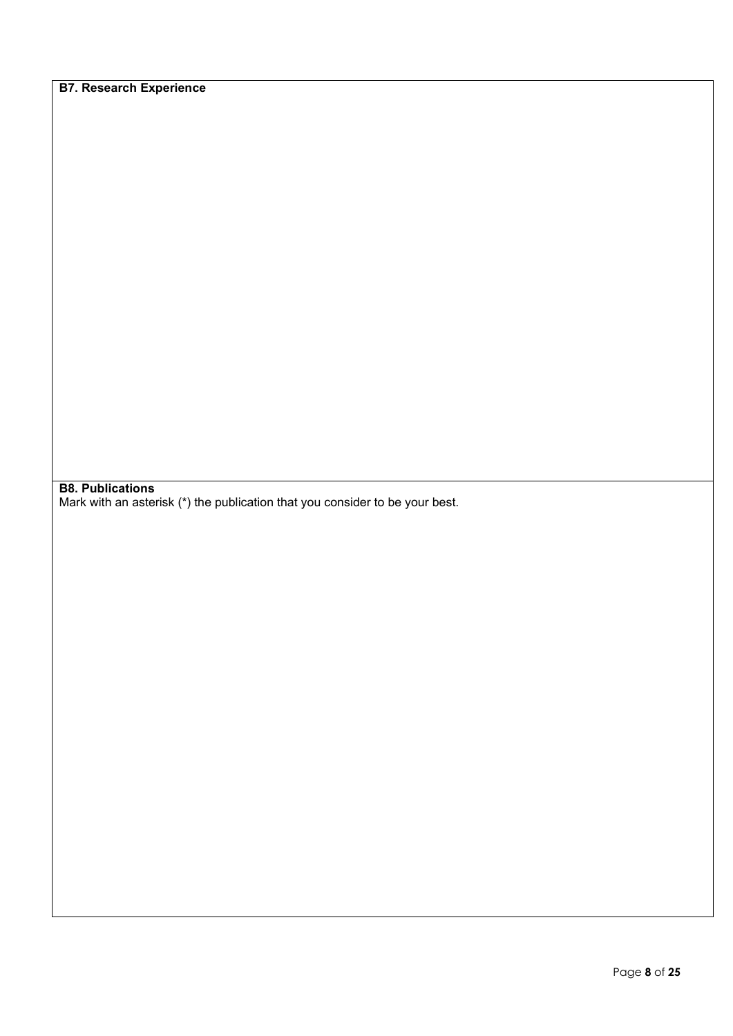**B7. Research Experience**

**B8. Publications**

Mark with an asterisk (\*) the publication that you consider to be your best.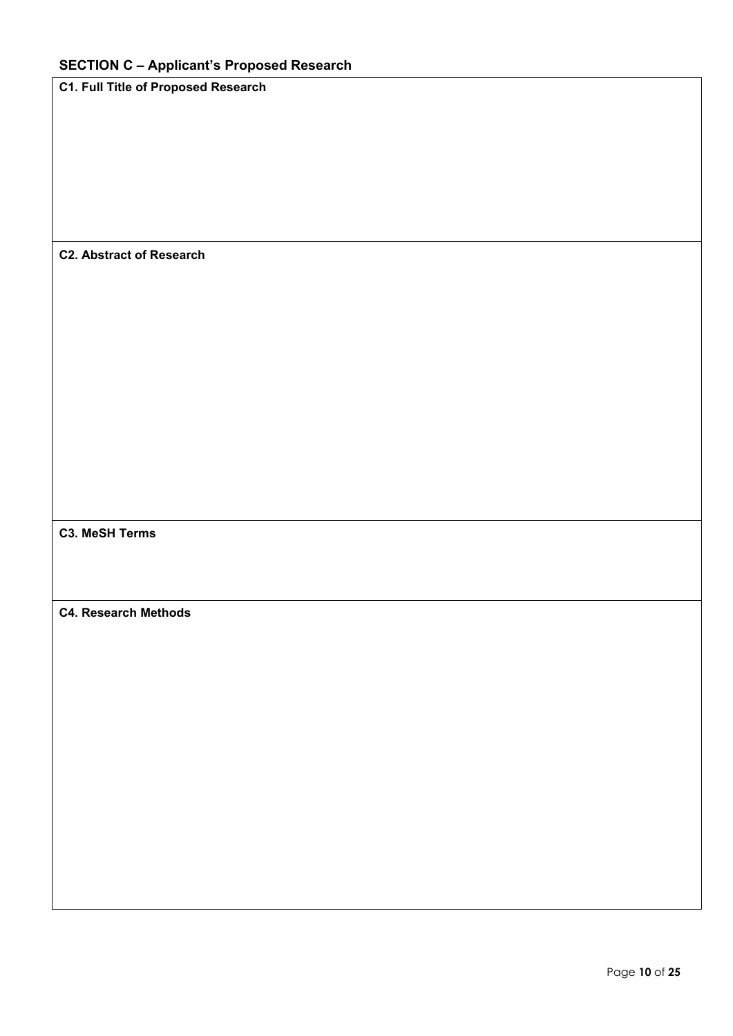**C1. Full Title of Proposed Research**

## **C2. Abstract of Research**

## **C3. MeSH Terms**

#### **C4. Research Methods**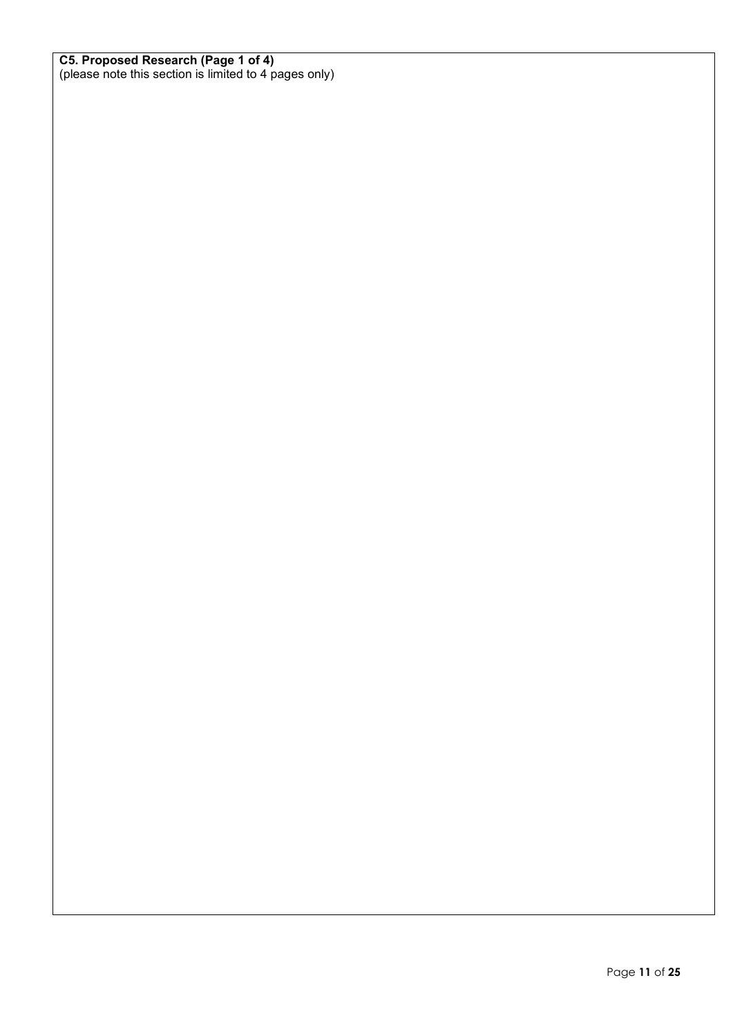#### **C5. Proposed Research (Page 1 of 4)**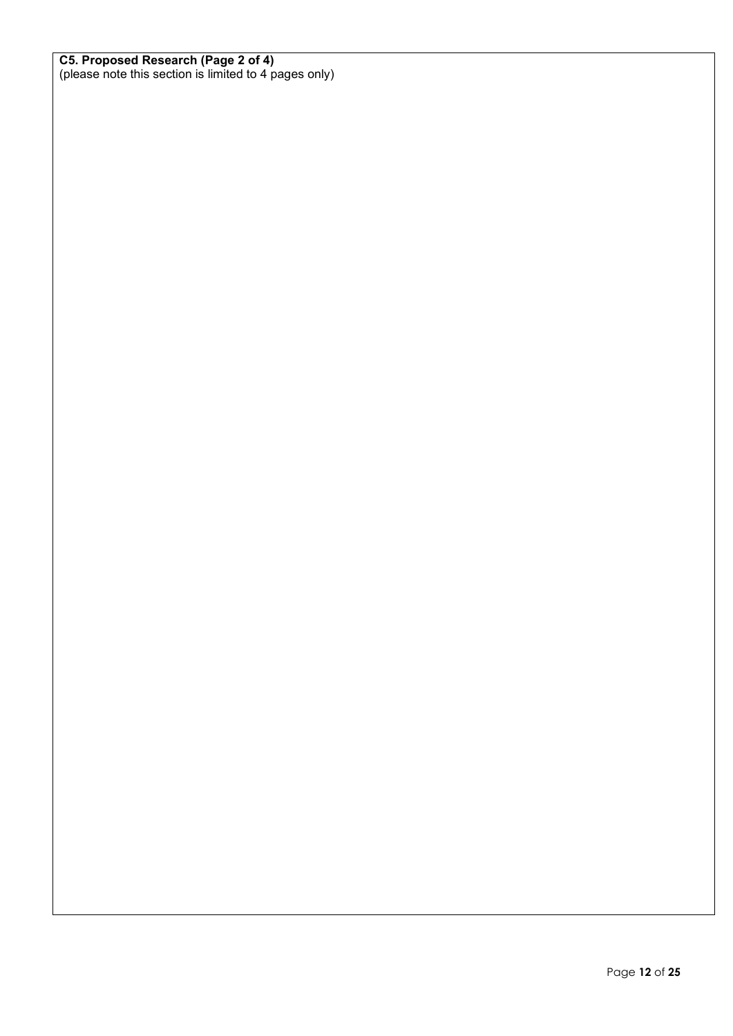#### **C5. Proposed Research (Page 2 of 4)**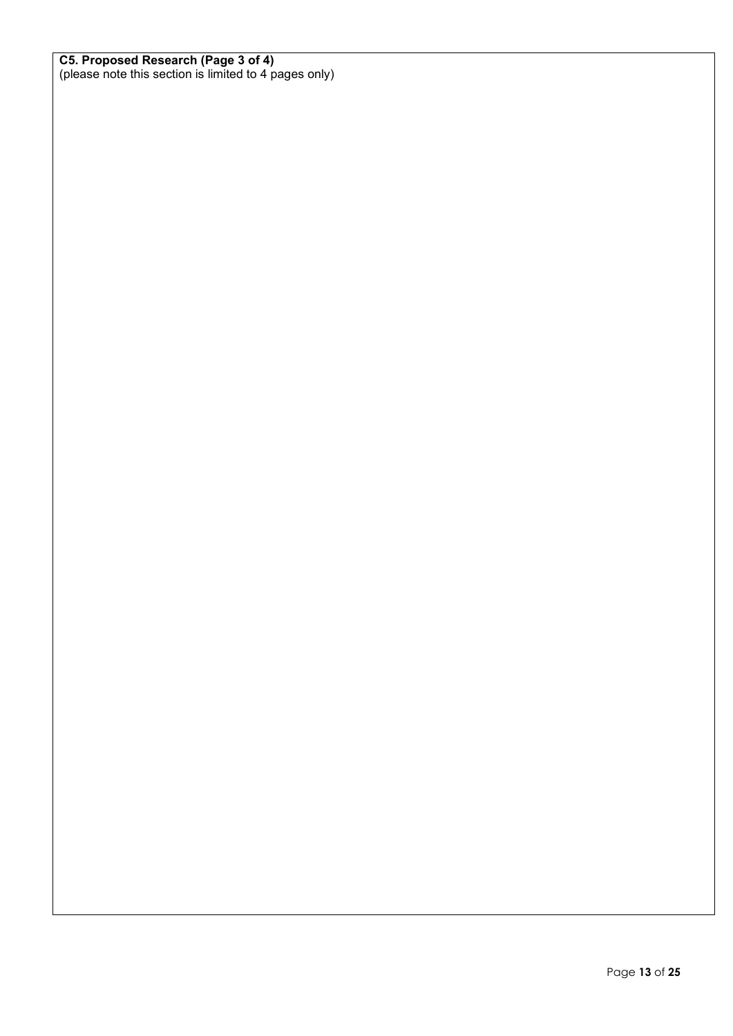#### **C5. Proposed Research (Page 3 of 4)**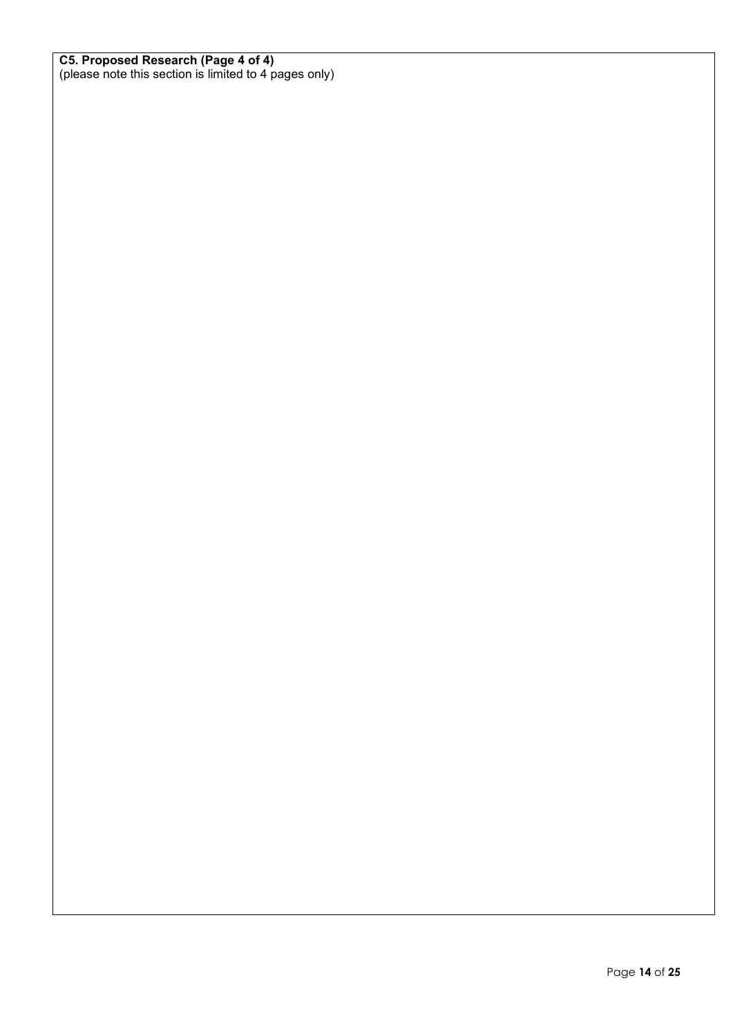#### **C5. Proposed Research (Page 4 of 4)**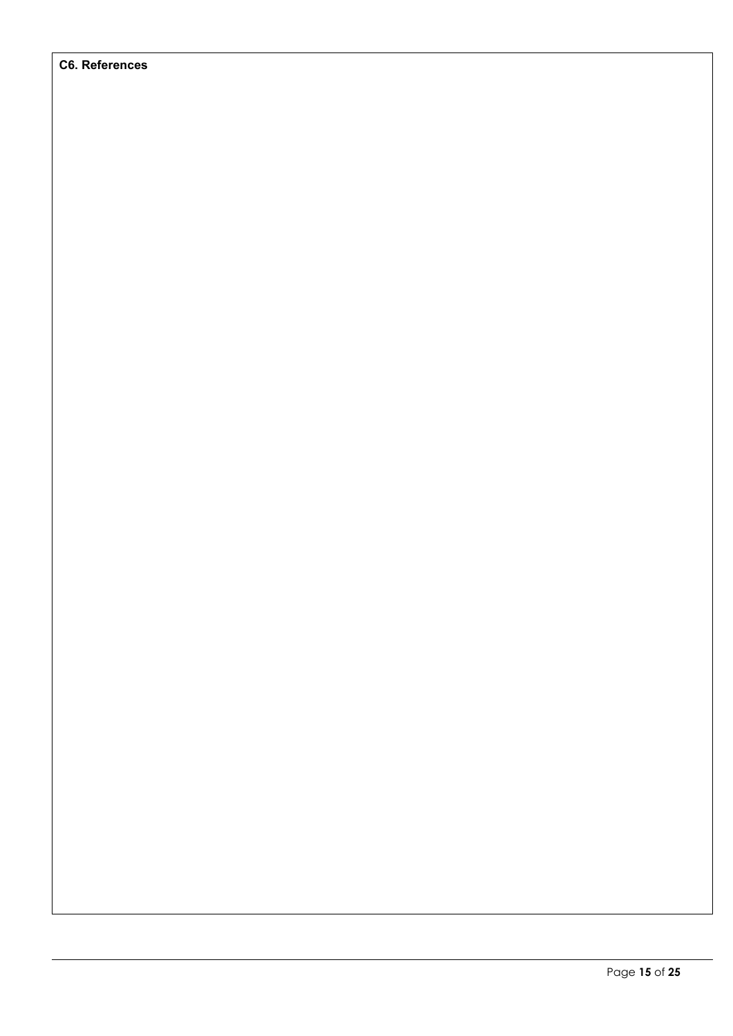#### **C6. References**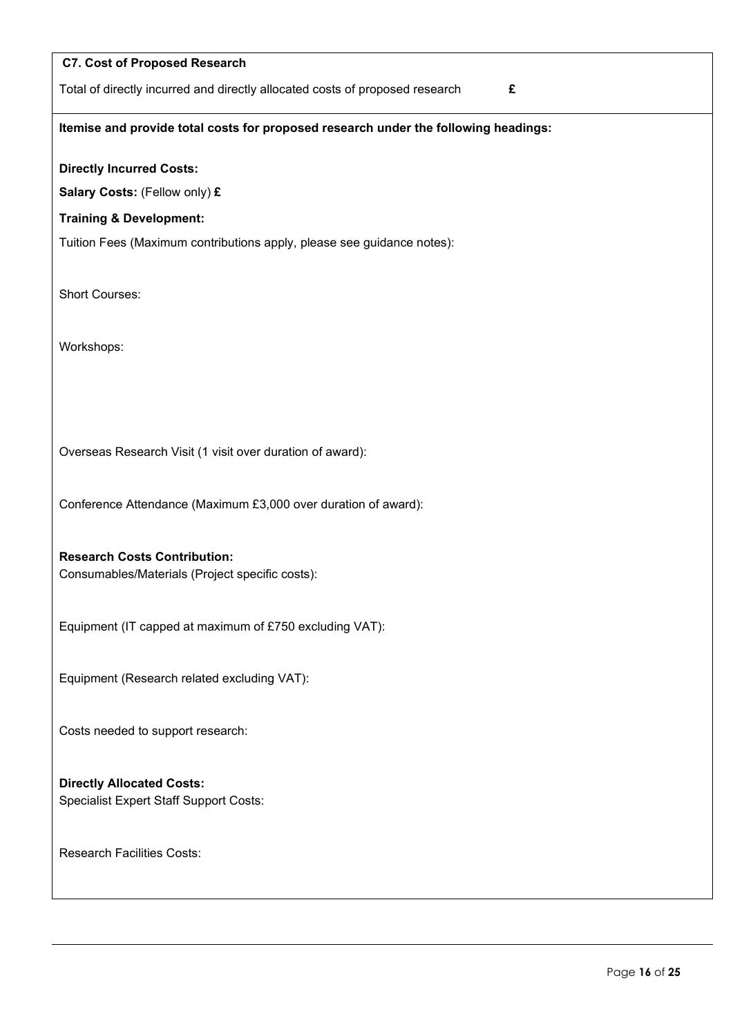| <b>C7. Cost of Proposed Research</b>                                                   |
|----------------------------------------------------------------------------------------|
| Total of directly incurred and directly allocated costs of proposed research<br>£      |
| Itemise and provide total costs for proposed research under the following headings:    |
| <b>Directly Incurred Costs:</b>                                                        |
| Salary Costs: (Fellow only) £                                                          |
| <b>Training &amp; Development:</b>                                                     |
| Tuition Fees (Maximum contributions apply, please see guidance notes):                 |
| Short Courses:                                                                         |
| Workshops:                                                                             |
|                                                                                        |
| Overseas Research Visit (1 visit over duration of award):                              |
| Conference Attendance (Maximum £3,000 over duration of award):                         |
| <b>Research Costs Contribution:</b><br>Consumables/Materials (Project specific costs): |
| Equipment (IT capped at maximum of £750 excluding VAT):                                |
| Equipment (Research related excluding VAT):                                            |
| Costs needed to support research:                                                      |
| <b>Directly Allocated Costs:</b><br><b>Specialist Expert Staff Support Costs:</b>      |
| <b>Research Facilities Costs:</b>                                                      |
|                                                                                        |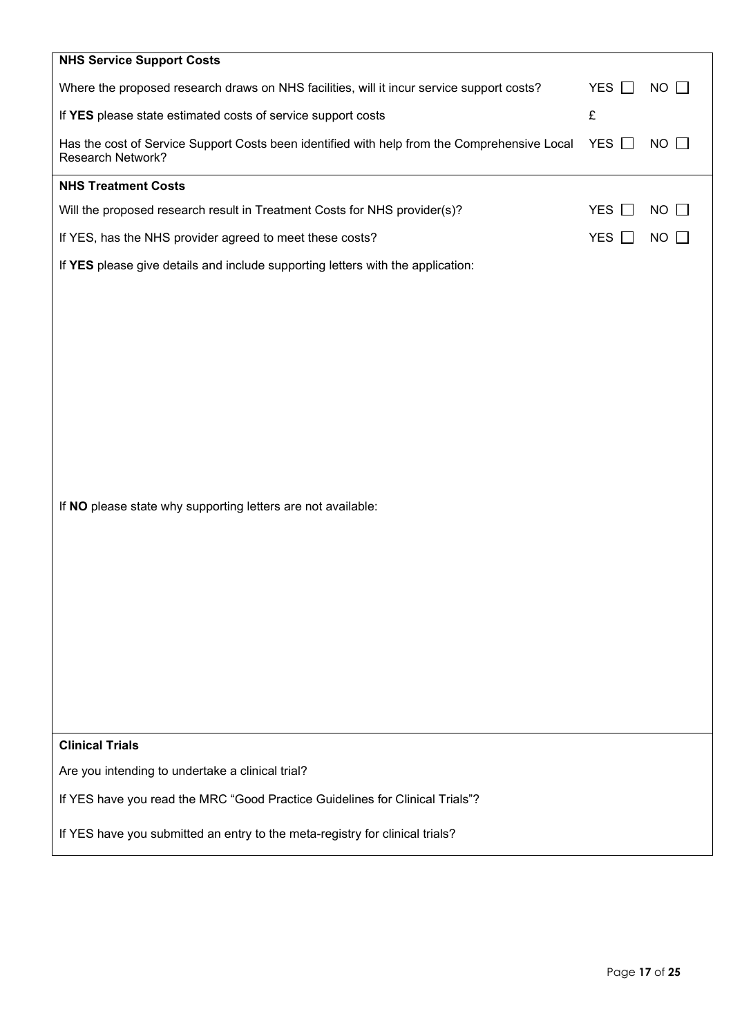| <b>NHS Service Support Costs</b>                                                                                         |                            |                           |
|--------------------------------------------------------------------------------------------------------------------------|----------------------------|---------------------------|
| Where the proposed research draws on NHS facilities, will it incur service support costs?                                | <b>YES</b>                 | $NO$ $\Box$               |
| If YES please state estimated costs of service support costs                                                             | £                          |                           |
| Has the cost of Service Support Costs been identified with help from the Comprehensive Local<br><b>Research Network?</b> | <b>YES</b>                 | <b>NO</b><br>$\mathbf{L}$ |
| <b>NHS Treatment Costs</b>                                                                                               |                            |                           |
| Will the proposed research result in Treatment Costs for NHS provider(s)?                                                | <b>YES</b>                 | NO                        |
| If YES, has the NHS provider agreed to meet these costs?                                                                 | <b>YES</b><br>$\mathbf{L}$ | <b>NO</b>                 |
| If YES please give details and include supporting letters with the application:                                          |                            |                           |
| If NO please state why supporting letters are not available:<br><b>Clinical Trials</b>                                   |                            |                           |
| Are you intending to undertake a clinical trial?                                                                         |                            |                           |
| If YES have you read the MRC "Good Practice Guidelines for Clinical Trials"?                                             |                            |                           |
|                                                                                                                          |                            |                           |
| If YES have you submitted an entry to the meta-registry for clinical trials?                                             |                            |                           |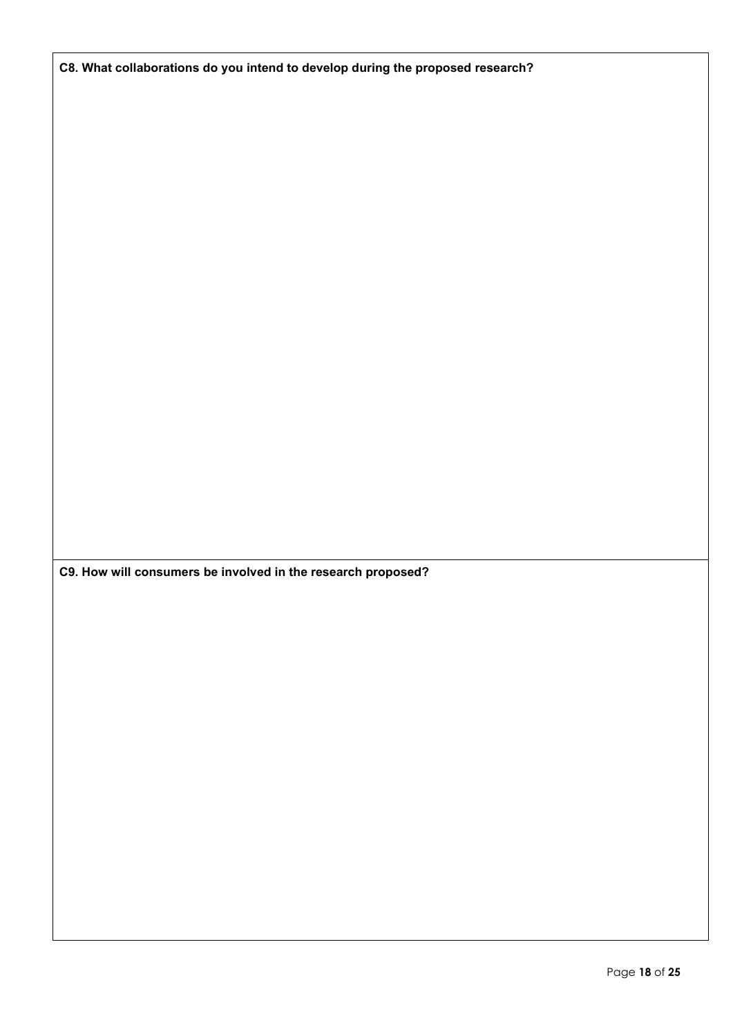**C8. What collaborations do you intend to develop during the proposed research?**

**C9. How will consumers be involved in the research proposed?**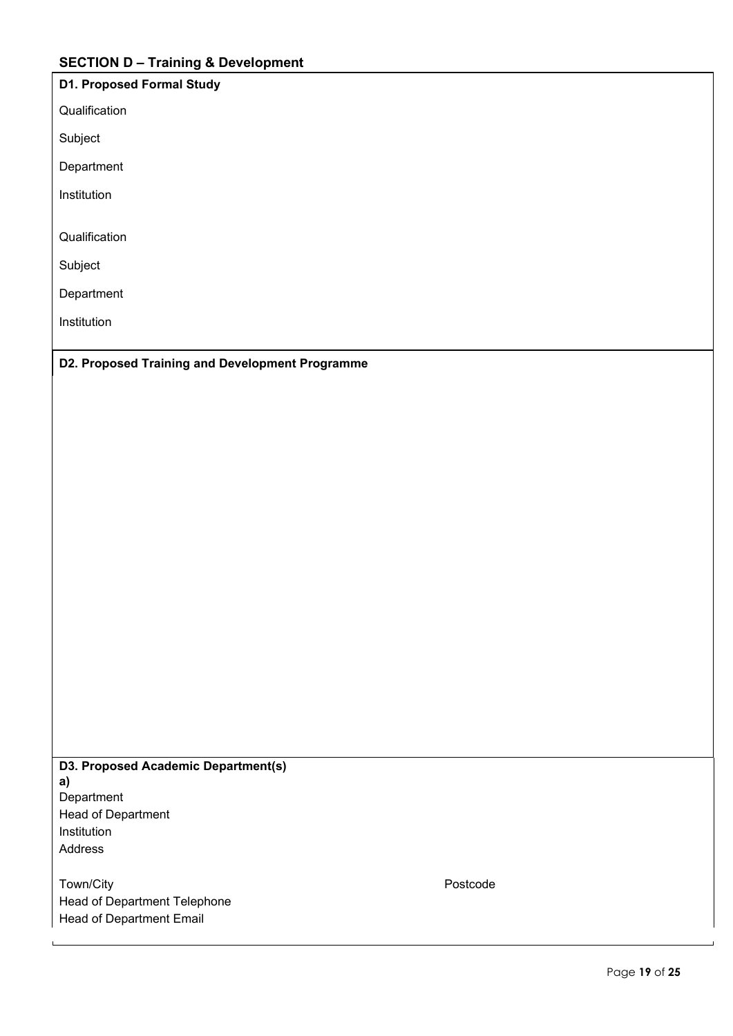# **SECTION D – Training & Development**

| <b>D1. Proposed Formal Study</b> |
|----------------------------------|
| Qualification                    |
| Subject                          |
| Department                       |
| Institution                      |

Qualification

Subject

Department

Institution

**D2. Proposed Training and Development Programme**

**D3. Proposed Academic Department(s) a) Department** Head of Department Institution Address

Town/City **Postcode** Head of Department Telephone Head of Department Email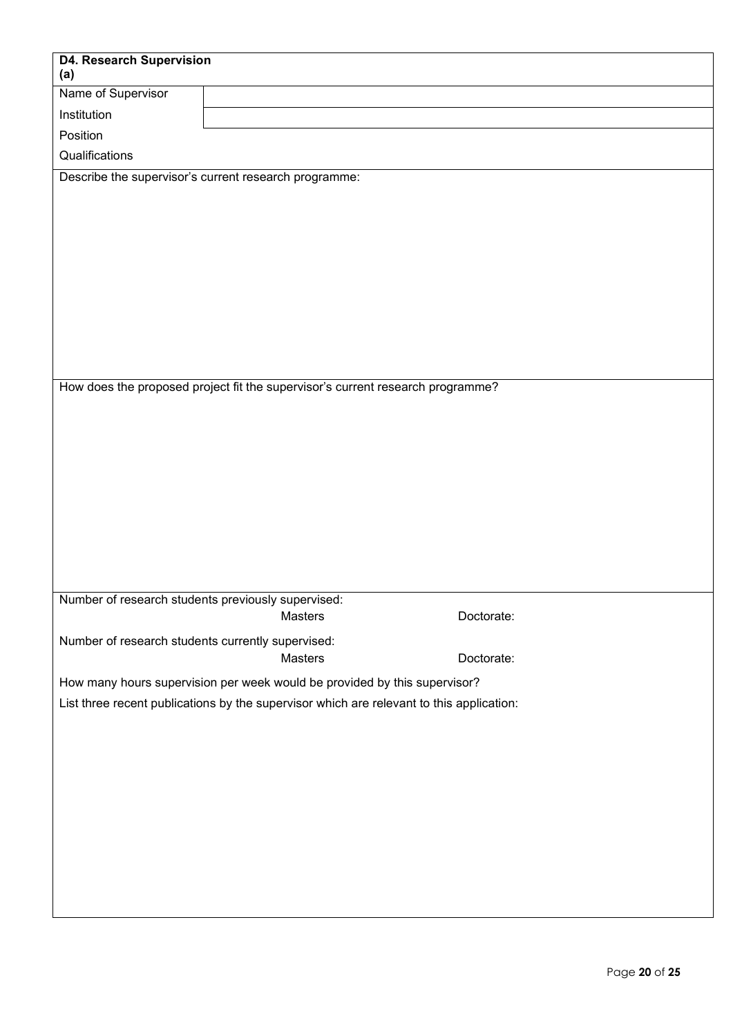| <b>D4. Research Supervision</b>                    |                                                                                          |            |  |
|----------------------------------------------------|------------------------------------------------------------------------------------------|------------|--|
| (a)                                                |                                                                                          |            |  |
| Name of Supervisor                                 |                                                                                          |            |  |
| Institution                                        |                                                                                          |            |  |
| Position                                           |                                                                                          |            |  |
| Qualifications                                     |                                                                                          |            |  |
|                                                    | Describe the supervisor's current research programme:                                    |            |  |
|                                                    |                                                                                          |            |  |
|                                                    |                                                                                          |            |  |
|                                                    |                                                                                          |            |  |
|                                                    |                                                                                          |            |  |
|                                                    |                                                                                          |            |  |
|                                                    |                                                                                          |            |  |
|                                                    |                                                                                          |            |  |
|                                                    |                                                                                          |            |  |
|                                                    |                                                                                          |            |  |
|                                                    | How does the proposed project fit the supervisor's current research programme?           |            |  |
|                                                    |                                                                                          |            |  |
|                                                    |                                                                                          |            |  |
|                                                    |                                                                                          |            |  |
|                                                    |                                                                                          |            |  |
|                                                    |                                                                                          |            |  |
|                                                    |                                                                                          |            |  |
|                                                    |                                                                                          |            |  |
|                                                    |                                                                                          |            |  |
|                                                    |                                                                                          |            |  |
| Number of research students previously supervised: |                                                                                          |            |  |
|                                                    | Masters                                                                                  | Doctorate: |  |
| Number of research students currently supervised:  |                                                                                          |            |  |
|                                                    | Masters                                                                                  | Doctorate: |  |
|                                                    | How many hours supervision per week would be provided by this supervisor?                |            |  |
|                                                    | List three recent publications by the supervisor which are relevant to this application: |            |  |
|                                                    |                                                                                          |            |  |
|                                                    |                                                                                          |            |  |
|                                                    |                                                                                          |            |  |
|                                                    |                                                                                          |            |  |
|                                                    |                                                                                          |            |  |
|                                                    |                                                                                          |            |  |
|                                                    |                                                                                          |            |  |
|                                                    |                                                                                          |            |  |
|                                                    |                                                                                          |            |  |
|                                                    |                                                                                          |            |  |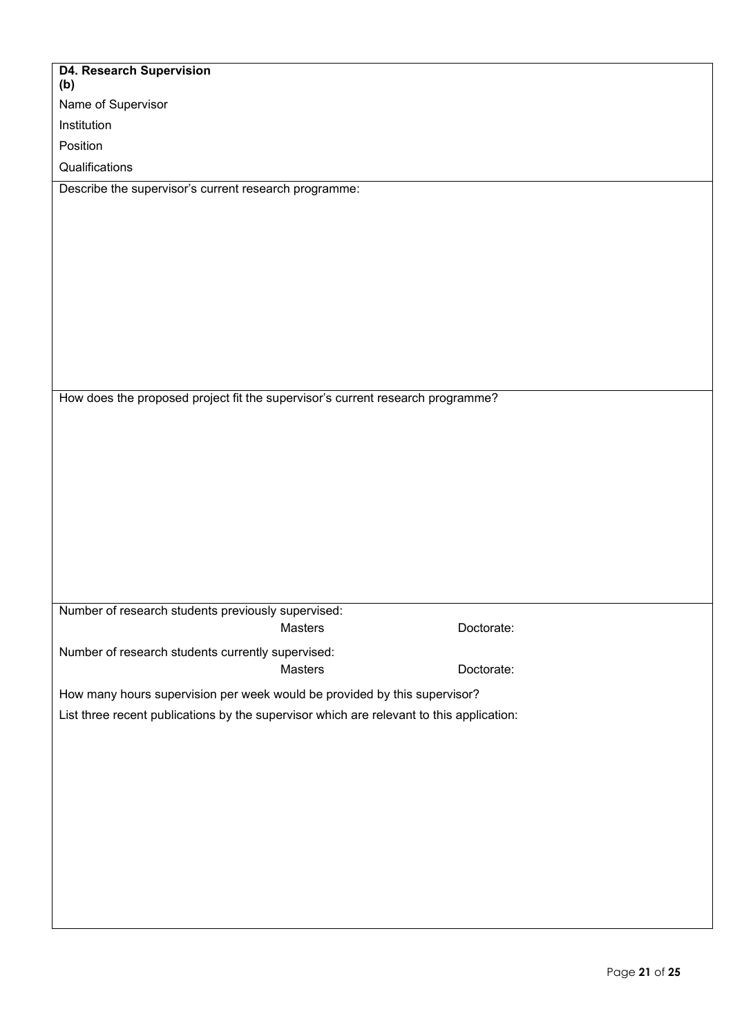| <b>D4. Research Supervision</b><br>(b)                                                   |         |            |
|------------------------------------------------------------------------------------------|---------|------------|
| Name of Supervisor                                                                       |         |            |
| Institution                                                                              |         |            |
| Position                                                                                 |         |            |
| Qualifications                                                                           |         |            |
| Describe the supervisor's current research programme:                                    |         |            |
|                                                                                          |         |            |
|                                                                                          |         |            |
|                                                                                          |         |            |
|                                                                                          |         |            |
|                                                                                          |         |            |
|                                                                                          |         |            |
|                                                                                          |         |            |
|                                                                                          |         |            |
|                                                                                          |         |            |
| How does the proposed project fit the supervisor's current research programme?           |         |            |
|                                                                                          |         |            |
|                                                                                          |         |            |
|                                                                                          |         |            |
|                                                                                          |         |            |
|                                                                                          |         |            |
|                                                                                          |         |            |
|                                                                                          |         |            |
|                                                                                          |         |            |
|                                                                                          |         |            |
| Number of research students previously supervised:                                       |         |            |
|                                                                                          | Masters | Doctorate: |
| Number of research students currently supervised:                                        |         |            |
|                                                                                          | Masters | Doctorate: |
| How many hours supervision per week would be provided by this supervisor?                |         |            |
| List three recent publications by the supervisor which are relevant to this application: |         |            |
|                                                                                          |         |            |
|                                                                                          |         |            |
|                                                                                          |         |            |
|                                                                                          |         |            |
|                                                                                          |         |            |
|                                                                                          |         |            |
|                                                                                          |         |            |
|                                                                                          |         |            |
|                                                                                          |         |            |
|                                                                                          |         |            |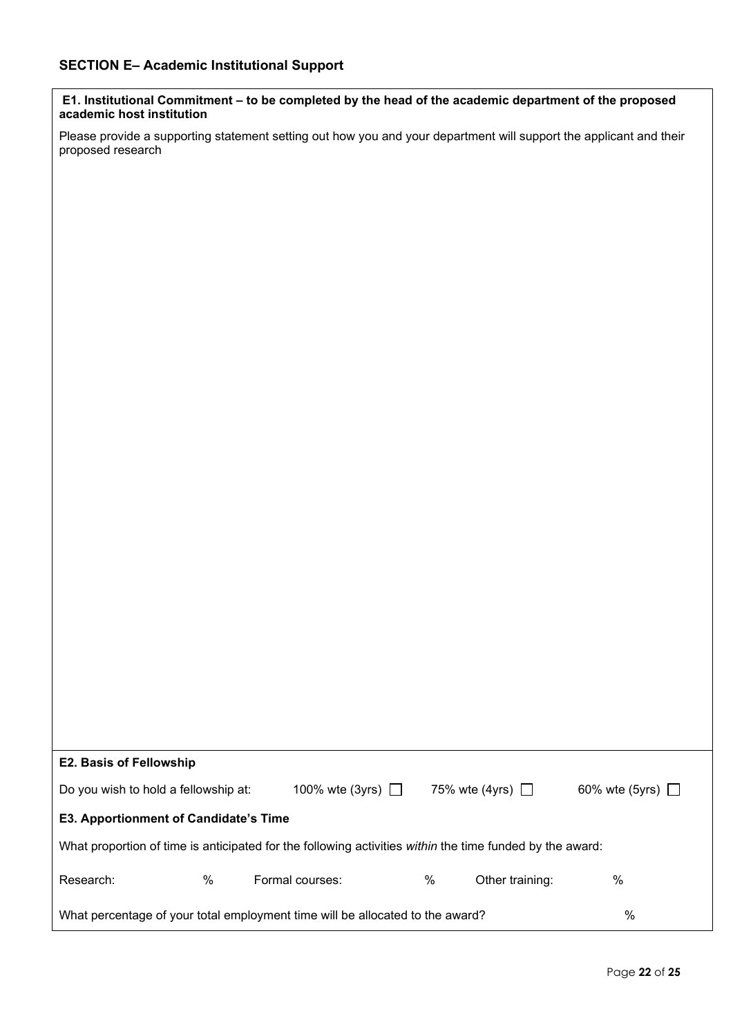**E1. Institutional Commitment – to be completed by the head of the academic department of the proposed academic host institution**

Please provide a supporting statement setting out how you and your department will support the applicant and their proposed research

| <b>E2. Basis of Fellowship</b>               |   |                                                                                                          |   |                       |                       |
|----------------------------------------------|---|----------------------------------------------------------------------------------------------------------|---|-----------------------|-----------------------|
| Do you wish to hold a fellowship at:         |   | 100% wte (3yrs) $\Box$                                                                                   |   | 75% wte (4yrs) $\Box$ | 60% wte (5yrs) $\Box$ |
| <b>E3. Apportionment of Candidate's Time</b> |   |                                                                                                          |   |                       |                       |
|                                              |   | What proportion of time is anticipated for the following activities within the time funded by the award: |   |                       |                       |
| Research:                                    | % | Formal courses:                                                                                          | % | Other training:       | %                     |
|                                              |   | What percentage of your total employment time will be allocated to the award?                            |   |                       | $\%$                  |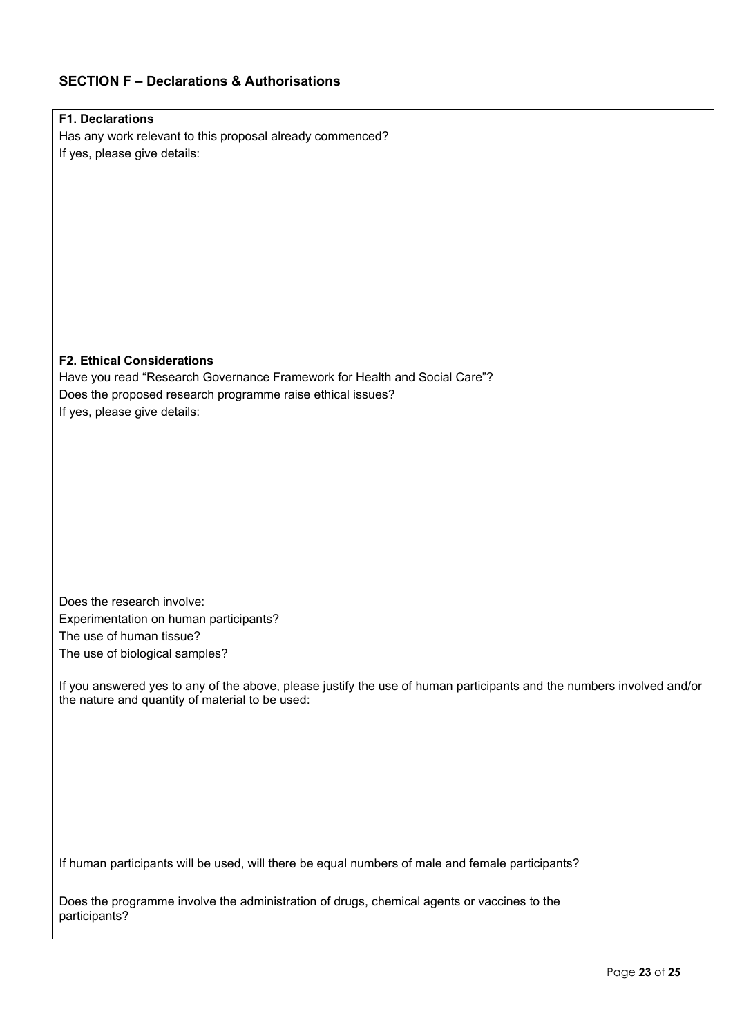# **SECTION F – Declarations & Authorisations**

| <b>F1. Declarations</b>                                                                                               |
|-----------------------------------------------------------------------------------------------------------------------|
| Has any work relevant to this proposal already commenced?                                                             |
| If yes, please give details:                                                                                          |
|                                                                                                                       |
|                                                                                                                       |
|                                                                                                                       |
|                                                                                                                       |
|                                                                                                                       |
|                                                                                                                       |
|                                                                                                                       |
|                                                                                                                       |
|                                                                                                                       |
|                                                                                                                       |
|                                                                                                                       |
| <b>F2. Ethical Considerations</b>                                                                                     |
| Have you read "Research Governance Framework for Health and Social Care"?                                             |
| Does the proposed research programme raise ethical issues?                                                            |
| If yes, please give details:                                                                                          |
|                                                                                                                       |
|                                                                                                                       |
|                                                                                                                       |
|                                                                                                                       |
|                                                                                                                       |
|                                                                                                                       |
|                                                                                                                       |
|                                                                                                                       |
|                                                                                                                       |
|                                                                                                                       |
| Does the research involve:                                                                                            |
| Experimentation on human participants?                                                                                |
| The use of human tissue?                                                                                              |
| The use of biological samples?                                                                                        |
|                                                                                                                       |
| If you answered yes to any of the above, please justify the use of human participants and the numbers involved and/or |
| the nature and quantity of material to be used:                                                                       |
|                                                                                                                       |
|                                                                                                                       |
|                                                                                                                       |
|                                                                                                                       |
|                                                                                                                       |
|                                                                                                                       |
|                                                                                                                       |
|                                                                                                                       |
| If human participants will be used, will there be equal numbers of male and female participants?                      |
|                                                                                                                       |
|                                                                                                                       |
| Does the programme involve the administration of drugs, chemical agents or vaccines to the<br>participants?           |
|                                                                                                                       |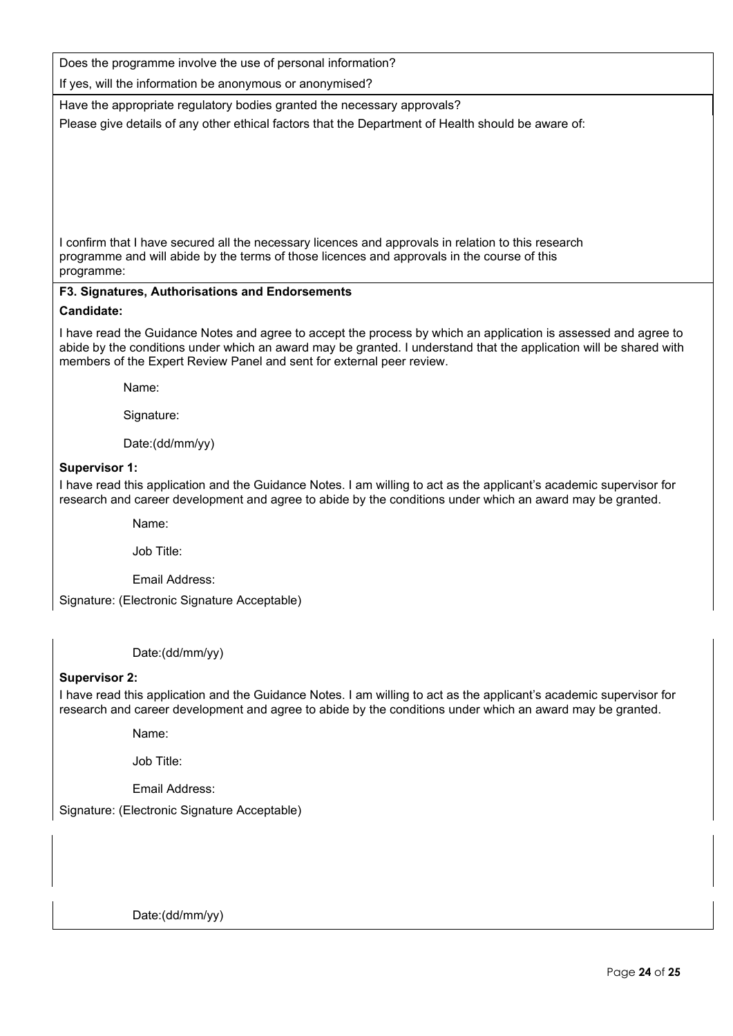Does the programme involve the use of personal information?

If yes, will the information be anonymous or anonymised?

Have the appropriate regulatory bodies granted the necessary approvals? Please give details of any other ethical factors that the Department of Health should be aware of:

I confirm that I have secured all the necessary licences and approvals in relation to this research programme and will abide by the terms of those licences and approvals in the course of this programme:

#### **F3. Signatures, Authorisations and Endorsements Candidate:**

I have read the Guidance Notes and agree to accept the process by which an application is assessed and agree to abide by the conditions under which an award may be granted. I understand that the application will be shared with members of the Expert Review Panel and sent for external peer review.

Name:

Signature:

Date:(dd/mm/yy)

#### **Supervisor 1:**

I have read this application and the Guidance Notes. I am willing to act as the applicant's academic supervisor for research and career development and agree to abide by the conditions under which an award may be granted.

Name:

Job Title:

Email Address:

Signature: (Electronic Signature Acceptable)

Date:(dd/mm/yy)

#### **Supervisor 2:**

j.

I have read this application and the Guidance Notes. I am willing to act as the applicant's academic supervisor for research and career development and agree to abide by the conditions under which an award may be granted.

Name:

Job Title:

Email Address:

Signature: (Electronic Signature Acceptable)

Date:(dd/mm/yy)